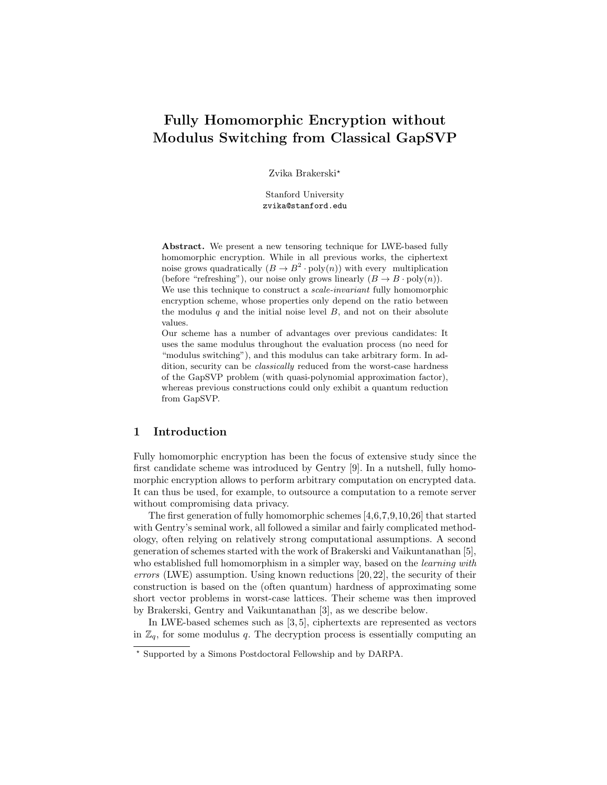# **Fully Homomorphic Encryption without Modulus Switching from Classical GapSVP**

Zvika Brakerski*<sup>⋆</sup>*

Stanford University zvika@stanford.edu

**Abstract.** We present a new tensoring technique for LWE-based fully homomorphic encryption. While in all previous works, the ciphertext noise grows quadratically  $(B \to B^2 \cdot \text{poly}(n))$  with every multiplication (before "refreshing"), our noise only grows linearly  $(B \to B \cdot \text{poly}(n))$ . We use this technique to construct a *scale-invariant* fully homomorphic

encryption scheme, whose properties only depend on the ratio between the modulus  $q$  and the initial noise level  $B$ , and not on their absolute values.

Our scheme has a number of advantages over previous candidates: It uses the same modulus throughout the evaluation process (no need for "modulus switching"), and this modulus can take arbitrary form. In addition, security can be *classically* reduced from the worst-case hardness of the GapSVP problem (with quasi-polynomial approximation factor), whereas previous constructions could only exhibit a quantum reduction from GapSVP.

# **1 Introduction**

Fully homomorphic encryption has been the focus of extensive study since the first candidate scheme was introduced by Gentry [9]. In a nutshell, fully homomorphic encryption allows to perform arbitrary computation on encrypted data. It can thus be used, for example, to outsource a computation to a remote server without compromising data privacy.

The first generation of fully homomorphic schemes [4,6,7,9,10,26] that started with Gentry's seminal work, all followed a similar and fairly complicated methodology, often relying on relatively strong computational assumptions. A second generation of schemes started with the work of Brakerski and Vaikuntanathan [5], who established full homomorphism in a simpler way, based on the *learning with errors* (LWE) assumption. Using known reductions [20, 22], the security of their construction is based on the (often quantum) hardness of approximating some short vector problems in worst-case lattices. Their scheme was then improved by Brakerski, Gentry and Vaikuntanathan [3], as we describe below.

In LWE-based schemes such as [3, 5], ciphertexts are represented as vectors in  $\mathbb{Z}_q$ , for some modulus q. The decryption process is essentially computing an

*<sup>⋆</sup>* Supported by a Simons Postdoctoral Fellowship and by DARPA.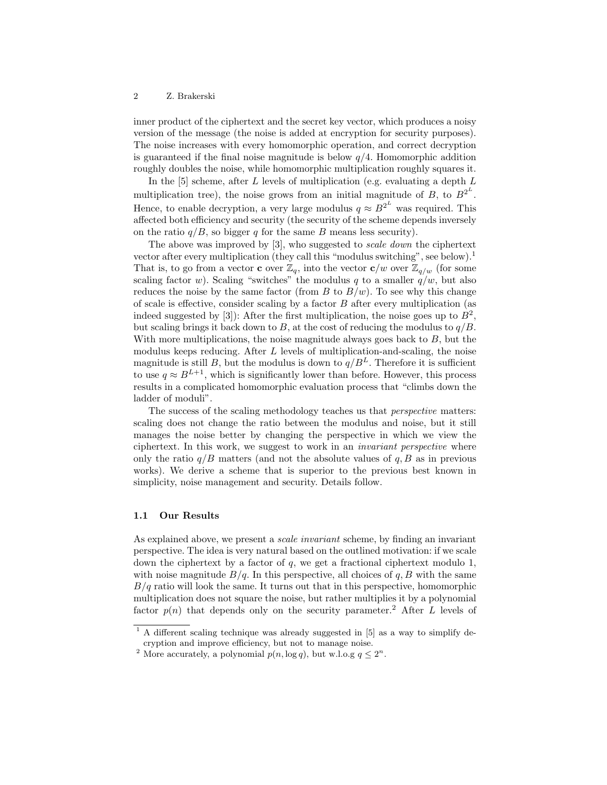inner product of the ciphertext and the secret key vector, which produces a noisy version of the message (the noise is added at encryption for security purposes). The noise increases with every homomorphic operation, and correct decryption is guaranteed if the final noise magnitude is below *q/*4. Homomorphic addition roughly doubles the noise, while homomorphic multiplication roughly squares it.

In the [5] scheme, after *L* levels of multiplication (e.g. evaluating a depth *L* multiplication tree), the noise grows from an initial magnitude of  $B$ , to  $B^{2^L}$ . Hence, to enable decryption, a very large modulus  $q \approx B^{2^L}$  was required. This affected both efficiency and security (the security of the scheme depends inversely on the ratio  $q/B$ , so bigger  $q$  for the same  $B$  means less security).

The above was improved by [3], who suggested to *scale down* the ciphertext vector after every multiplication (they call this "modulus switching", see below).<sup>1</sup> That is, to go from a vector **c** over  $\mathbb{Z}_q$ , into the vector **c**/w over  $\mathbb{Z}_{q/w}$  (for some scaling factor *w*). Scaling "switches" the modulus *q* to a smaller  $q/w$ , but also reduces the noise by the same factor (from  $B$  to  $B/w$ ). To see why this change of scale is effective, consider scaling by a factor *B* after every multiplication (as indeed suggested by [3]): After the first multiplication, the noise goes up to  $B^2$ , but scaling brings it back down to *B*, at the cost of reducing the modulus to  $q/B$ . With more multiplications, the noise magnitude always goes back to *B*, but the modulus keeps reducing. After *L* levels of multiplication-and-scaling, the noise magnitude is still *B*, but the modulus is down to  $q/B<sup>L</sup>$ . Therefore it is sufficient to use  $q \approx B^{L+1}$ , which is significantly lower than before. However, this process results in a complicated homomorphic evaluation process that "climbs down the ladder of moduli".

The success of the scaling methodology teaches us that *perspective* matters: scaling does not change the ratio between the modulus and noise, but it still manages the noise better by changing the perspective in which we view the ciphertext. In this work, we suggest to work in an *invariant perspective* where only the ratio  $q/B$  matters (and not the absolute values of  $q, B$  as in previous works). We derive a scheme that is superior to the previous best known in simplicity, noise management and security. Details follow.

## **1.1 Our Results**

As explained above, we present a *scale invariant* scheme, by finding an invariant perspective. The idea is very natural based on the outlined motivation: if we scale down the ciphertext by a factor of *q*, we get a fractional ciphertext modulo 1, with noise magnitude  $B/q$ . In this perspective, all choices of  $q, B$  with the same *B/q* ratio will look the same. It turns out that in this perspective, homomorphic multiplication does not square the noise, but rather multiplies it by a polynomial factor  $p(n)$  that depends only on the security parameter.<sup>2</sup> After *L* levels of

<sup>&</sup>lt;sup>1</sup> A different scaling technique was already suggested in [5] as a way to simplify decryption and improve efficiency, but not to manage noise.

<sup>&</sup>lt;sup>2</sup> More accurately, a polynomial  $p(n, \log q)$ , but w.l.o.g  $q \leq 2^n$ .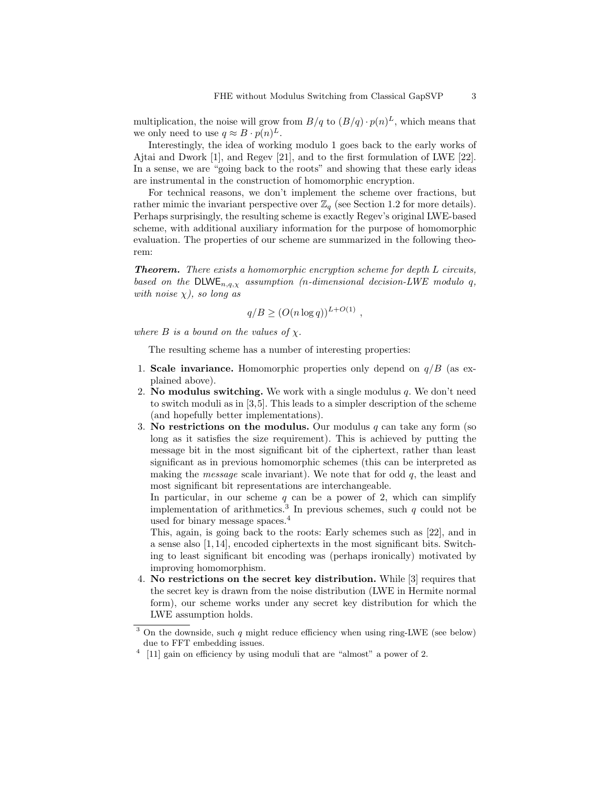multiplication, the noise will grow from  $B/q$  to  $(B/q) \cdot p(n)^L$ , which means that we only need to use  $q \approx B \cdot p(n)^{L}$ .

Interestingly, the idea of working modulo 1 goes back to the early works of Ajtai and Dwork [1], and Regev [21], and to the first formulation of LWE [22]. In a sense, we are "going back to the roots" and showing that these early ideas are instrumental in the construction of homomorphic encryption.

For technical reasons, we don't implement the scheme over fractions, but rather mimic the invariant perspective over  $\mathbb{Z}_q$  (see Section 1.2 for more details). Perhaps surprisingly, the resulting scheme is exactly Regev's original LWE-based scheme, with additional auxiliary information for the purpose of homomorphic evaluation. The properties of our scheme are summarized in the following theorem:

*Theorem. There exists a homomorphic encryption scheme for depth L circuits, based on the* DLWE*n,q,χ assumption (n-dimensional decision-LWE modulo q, with noise χ), so long as*

$$
q/B \ge (O(n \log q))^{L+O(1)},
$$

*where*  $B$  *is a bound on the values of*  $\chi$ *.* 

The resulting scheme has a number of interesting properties:

- 1. **Scale invariance.** Homomorphic properties only depend on  $q/B$  (as explained above).
- 2. **No modulus switching.** We work with a single modulus *q*. We don't need to switch moduli as in [3,5]. This leads to a simpler description of the scheme (and hopefully better implementations).
- 3. **No restrictions on the modulus.** Our modulus *q* can take any form (so long as it satisfies the size requirement). This is achieved by putting the message bit in the most significant bit of the ciphertext, rather than least significant as in previous homomorphic schemes (this can be interpreted as making the *message* scale invariant). We note that for odd *q*, the least and most significant bit representations are interchangeable.

In particular, in our scheme  $q$  can be a power of 2, which can simplify implementation of arithmetics.<sup>3</sup> In previous schemes, such *q* could not be used for binary message spaces.<sup>4</sup>

This, again, is going back to the roots: Early schemes such as [22], and in a sense also [1, 14], encoded ciphertexts in the most significant bits. Switching to least significant bit encoding was (perhaps ironically) motivated by improving homomorphism.

4. **No restrictions on the secret key distribution.** While [3] requires that the secret key is drawn from the noise distribution (LWE in Hermite normal form), our scheme works under any secret key distribution for which the LWE assumption holds.

<sup>3</sup> On the downside, such *q* might reduce efficiency when using ring-LWE (see below) due to FFT embedding issues.

<sup>&</sup>lt;sup>4</sup> [11] gain on efficiency by using moduli that are "almost" a power of 2.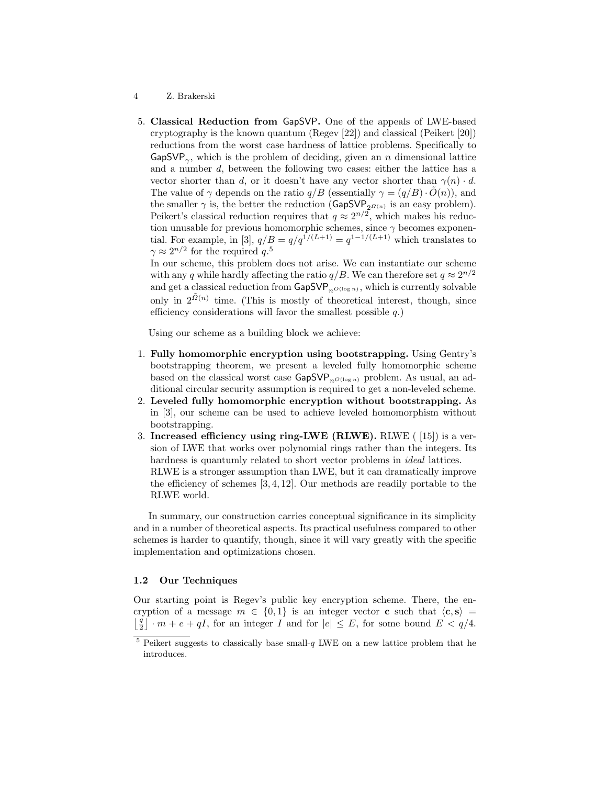- 4 Z. Brakerski
- 5. **Classical Reduction from** GapSVP**.** One of the appeals of LWE-based cryptography is the known quantum (Regev [22]) and classical (Peikert [20]) reductions from the worst case hardness of lattice problems. Specifically to GapSVP<sub> $\gamma$ </sub>, which is the problem of deciding, given an *n* dimensional lattice and a number *d*, between the following two cases: either the lattice has a vector shorter than *d*, or it doesn't have any vector shorter than  $\gamma(n) \cdot d$ . The value of  $\gamma$  depends on the ratio  $q/B$  (essentially  $\gamma = (q/B) \cdot \tilde{O}(n)$ ), and the smaller  $\gamma$  is, the better the reduction (GapSVP<sub>2</sub> $\Omega(n)$ ) is an easy problem). Peikert's classical reduction requires that  $q \approx 2^{n/2}$ , which makes his reduction unusable for previous homomorphic schemes, since  $\gamma$  becomes exponential. For example, in [3],  $q/B = q/q^{1/(L+1)} = q^{1-1/(L+1)}$  which translates to  $\gamma \approx 2^{n/2}$  for the required  $q$ <sup>5</sup>

In our scheme, this problem does not arise. We can instantiate our scheme with any *q* while hardly affecting the ratio  $q/B$ . We can therefore set  $q \approx 2^{n/2}$ and get a classical reduction from  $\mathsf{GapSVP}_{n^{O(\log n)}}$ , which is currently solvable only in  $2^{\tilde{Q}(n)}$  time. (This is mostly of theoretical interest, though, since efficiency considerations will favor the smallest possible *q*.)

Using our scheme as a building block we achieve:

- 1. **Fully homomorphic encryption using bootstrapping.** Using Gentry's bootstrapping theorem, we present a leveled fully homomorphic scheme based on the classical worst case  $\mathsf{GapSVP}_{n^{O(\log n)}}$  problem. As usual, an additional circular security assumption is required to get a non-leveled scheme.
- 2. **Leveled fully homomorphic encryption without bootstrapping.** As in [3], our scheme can be used to achieve leveled homomorphism without bootstrapping.
- 3. **Increased efficiency using ring-LWE (RLWE).** RLWE ( [15]) is a version of LWE that works over polynomial rings rather than the integers. Its hardness is quantumly related to short vector problems in *ideal* lattices. RLWE is a stronger assumption than LWE, but it can dramatically improve the efficiency of schemes  $[3, 4, 12]$ . Our methods are readily portable to the RLWE world.

In summary, our construction carries conceptual significance in its simplicity and in a number of theoretical aspects. Its practical usefulness compared to other schemes is harder to quantify, though, since it will vary greatly with the specific implementation and optimizations chosen.

#### **1.2 Our Techniques**

Our starting point is Regev's public key encryption scheme. There, the encryption of a message  $m \in \{0, 1\}$  is an integer vector **c** such that  $\langle c, s \rangle =$  $\frac{q}{2}$   $\int$   $\cdot$  *m* + *e* + *qI*, for an integer *I* and for  $|e| \leq E$ , for some bound  $E < q/4$ .

<sup>5</sup> Peikert suggests to classically base small-*q* LWE on a new lattice problem that he introduces.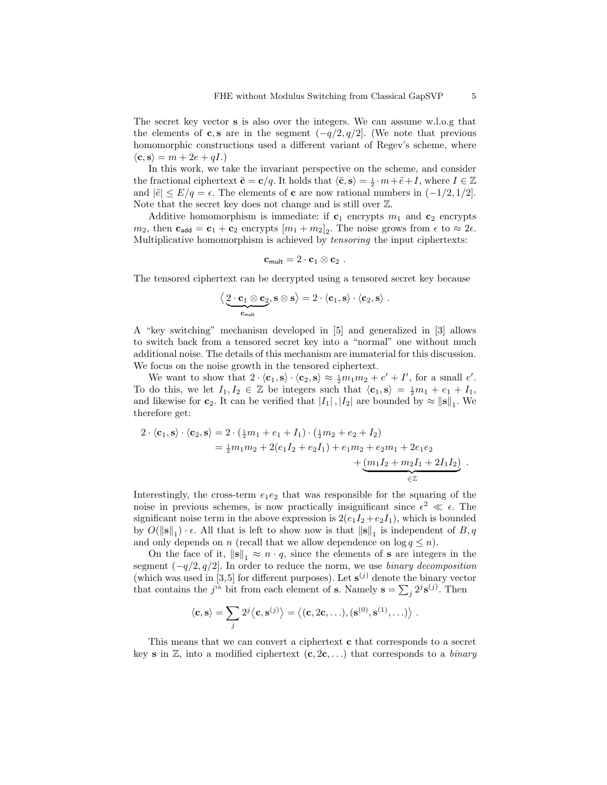The secret key vector **s** is also over the integers. We can assume w.l.o.g that the elements of **c**, **s** are in the segment  $(-q/2, q/2]$ . (We note that previous homomorphic constructions used a different variant of Regev's scheme, where  $\langle$ **c***,* **s** $\rangle$  = *m* + 2*e* + *qI*.)

In this work, we take the invariant perspective on the scheme, and consider the fractional ciphertext  $\tilde{\mathbf{c}} = \mathbf{c}/q$ . It holds that  $\langle \tilde{\mathbf{c}}, \mathbf{s} \rangle = \frac{1}{2} \cdot m + \tilde{e} + I$ , where  $I \in \mathbb{Z}$ and  $|\tilde{e}| \leq E/q = \epsilon$ . The elements of **c** are now rational numbers in  $(-1/2, 1/2]$ . Note that the secret key does not change and is still over Z.

Additive homomorphism is immediate: if  $c_1$  encrypts  $m_1$  and  $c_2$  encrypts  $m_2$ , then  $\mathbf{c}_{\mathsf{add}} = \mathbf{c}_1 + \mathbf{c}_2$  encrypts  $[m_1 + m_2]_2$ . The noise grows from  $\epsilon$  to  $\approx 2\epsilon$ . Multiplicative homomorphism is achieved by *tensoring* the input ciphertexts:

$$
\mathbf{c}_{\mathsf{mult}} = 2 \cdot \mathbf{c}_1 \otimes \mathbf{c}_2 \ .
$$

The tensored ciphertext can be decrypted using a tensored secret key because

$$
\big\langle \underbrace{2 \cdot \mathbf{c}_1 \otimes \mathbf{c}_2}_{\mathbf{c}_{\text{mult}}}, \mathbf{s} \otimes \mathbf{s} \big\rangle = 2 \cdot \langle \mathbf{c}_1, \mathbf{s} \rangle \cdot \langle \mathbf{c}_2, \mathbf{s} \rangle \ .
$$

A "key switching" mechanism developed in [5] and generalized in [3] allows to switch back from a tensored secret key into a "normal" one without much additional noise. The details of this mechanism are immaterial for this discussion. We focus on the noise growth in the tensored ciphertext.

We want to show that  $2 \cdot \langle \mathbf{c}_1, \mathbf{s} \rangle \cdot \langle \mathbf{c}_2, \mathbf{s} \rangle \approx \frac{1}{2} m_1 m_2 + e' + I'$ , for a small  $e'$ . To do this, we let  $I_1, I_2 \in \mathbb{Z}$  be integers such that  $\langle \mathbf{c}_1, \mathbf{s} \rangle = \frac{1}{2}m_1 + e_1 + I_1$ , and likewise for **c**<sub>2</sub>. It can be verified that  $|I_1|$ ,  $|I_2|$  are bounded by  $\approx$   $||\mathbf{s}||_1$ . We therefore get:

$$
2 \cdot \langle c_1, s \rangle \cdot \langle c_2, s \rangle = 2 \cdot (\frac{1}{2}m_1 + e_1 + I_1) \cdot (\frac{1}{2}m_2 + e_2 + I_2)
$$
  
=  $\frac{1}{2}m_1m_2 + 2(e_1I_2 + e_2I_1) + e_1m_2 + e_2m_1 + 2e_1e_2$   
+  $\underbrace{(m_1I_2 + m_2I_1 + 2I_1I_2)}_{\in \mathbb{Z}}$ .

Interestingly, the cross-term  $e_1e_2$  that was responsible for the squaring of the noise in previous schemes, is now practically insignificant since  $\epsilon^2 \ll \epsilon$ . The significant noise term in the above expression is  $2(e_1I_2 + e_2I_1)$ , which is bounded by  $O(||\mathbf{s}||_1) \cdot \epsilon$ . All that is left to show now is that  $||\mathbf{s}||_1$  is independent of  $B, q$ and only depends on *n* (recall that we allow dependence on  $\log q \leq n$ ).

On the face of it,  $\|\mathbf{s}\|_1 \approx n \cdot q$ , since the elements of **s** are integers in the segment (*−q/*2*, q/*2]. In order to reduce the norm, we use *binary decomposition* (which was used in [3,5] for different purposes). Let  $s^{(j)}$  denote the binary vector that contains the *j*<sup>th</sup> bit from each element of **s**. Namely  $\mathbf{s} = \sum_j 2^j \mathbf{s}^{(j)}$ . Then

$$
\langle \mathbf{c}, \mathbf{s} \rangle = \sum_j 2^j \langle \mathbf{c}, \mathbf{s}^{(j)} \rangle = \langle (\mathbf{c}, 2\mathbf{c}, \ldots), (\mathbf{s}^{(0)}, \mathbf{s}^{(1)}, \ldots) \rangle.
$$

This means that we can convert a ciphertext **c** that corresponds to a secret key **s** in Z, into a modified ciphertext (**c***,* 2**c***, . . .*) that corresponds to a *binary*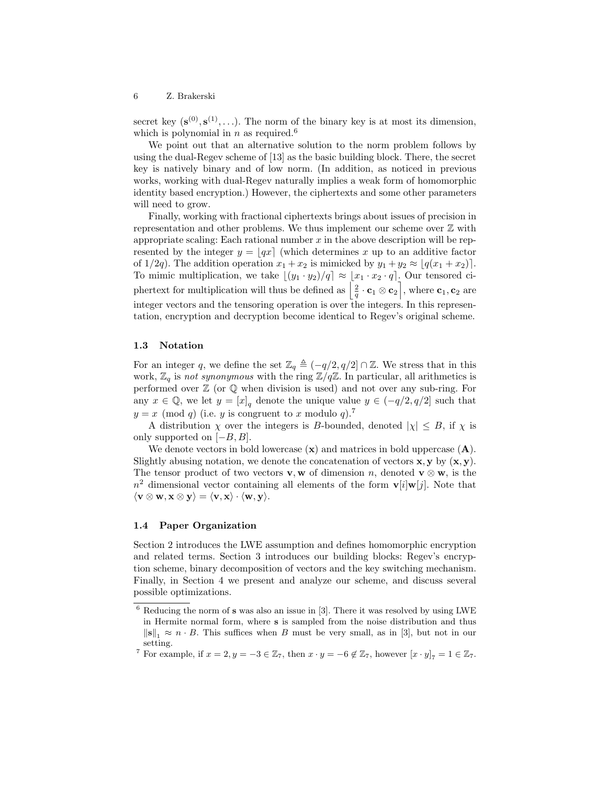secret key  $(\mathbf{s}^{(0)}, \mathbf{s}^{(1)}, \ldots)$ . The norm of the binary key is at most its dimension, which is polynomial in *n* as required.<sup>6</sup>

We point out that an alternative solution to the norm problem follows by using the dual-Regev scheme of [13] as the basic building block. There, the secret key is natively binary and of low norm. (In addition, as noticed in previous works, working with dual-Regev naturally implies a weak form of homomorphic identity based encryption.) However, the ciphertexts and some other parameters will need to grow.

Finally, working with fractional ciphertexts brings about issues of precision in representation and other problems. We thus implement our scheme over  $\mathbb Z$  with appropriate scaling: Each rational number *x* in the above description will be represented by the integer  $y = |qx|$  (which determines x up to an additive factor of  $1/2q$ ). The addition operation  $x_1 + x_2$  is mimicked by  $y_1 + y_2 \approx |q(x_1 + x_2)|$ . To mimic multiplication, we take  $[(y_1 \cdot y_2)/q] \approx [x_1 \cdot x_2 \cdot q]$ . Our tensored ciphertext for multiplication will thus be defined as  $\left[\frac{2}{q} \cdot \mathbf{c}_1 \otimes \mathbf{c}_2\right]$ , where  $\mathbf{c}_1, \mathbf{c}_2$  are integer vectors and the tensoring operation is over the integers. In this representation, encryption and decryption become identical to Regev's original scheme.

## **1.3 Notation**

For an integer *q*, we define the set  $\mathbb{Z}_q \triangleq (-q/2, q/2] \cap \mathbb{Z}$ . We stress that in this work,  $\mathbb{Z}_q$  is *not synonymous* with the ring  $\mathbb{Z}/q\mathbb{Z}$ . In particular, all arithmetics is performed over  $\mathbb Z$  (or  $\mathbb Q$  when division is used) and not over any sub-ring. For any  $x \in \mathbb{Q}$ , we let  $y = [x]_q$  denote the unique value  $y \in (-q/2, q/2]$  such that  $y = x \pmod{q}$  (i.e. *y* is congruent to *x* modulo *q*).<sup>7</sup>

A distribution  $\chi$  over the integers is *B*-bounded, denoted  $|\chi| \leq B$ , if  $\chi$  is only supported on [*−B, B*].

We denote vectors in bold lowercase (**x**) and matrices in bold uppercase (**A**). Slightly abusing notation, we denote the concatenation of vectors  $\mathbf{x}, \mathbf{y}$  by  $(\mathbf{x}, \mathbf{y})$ . The tensor product of two vectors **v***,* **w** of dimension *n*, denoted **v**  $\otimes$  **w***,* is the  $n^2$  dimensional vector containing all elements of the form **v**[*i*] $\mathbf{w}[j]$ . Note that  $\langle \mathbf{v} \otimes \mathbf{w}, \mathbf{x} \otimes \mathbf{y} \rangle = \langle \mathbf{v}, \mathbf{x} \rangle \cdot \langle \mathbf{w}, \mathbf{y} \rangle.$ 

#### **1.4 Paper Organization**

Section 2 introduces the LWE assumption and defines homomorphic encryption and related terms. Section 3 introduces our building blocks: Regev's encryption scheme, binary decomposition of vectors and the key switching mechanism. Finally, in Section 4 we present and analyze our scheme, and discuss several possible optimizations.

<sup>6</sup> Reducing the norm of **s** was also an issue in [3]. There it was resolved by using LWE in Hermite normal form, where **s** is sampled from the noise distribution and thus *∥***s***∥*<sup>1</sup> *≈ n · B*. This suffices when *B* must be very small, as in [3], but not in our setting.

<sup>7</sup> For example, if  $x = 2, y = -3 \in \mathbb{Z}_7$ , then  $x \cdot y = -6 \notin \mathbb{Z}_7$ , however  $[x \cdot y]_7 = 1 \in \mathbb{Z}_7$ .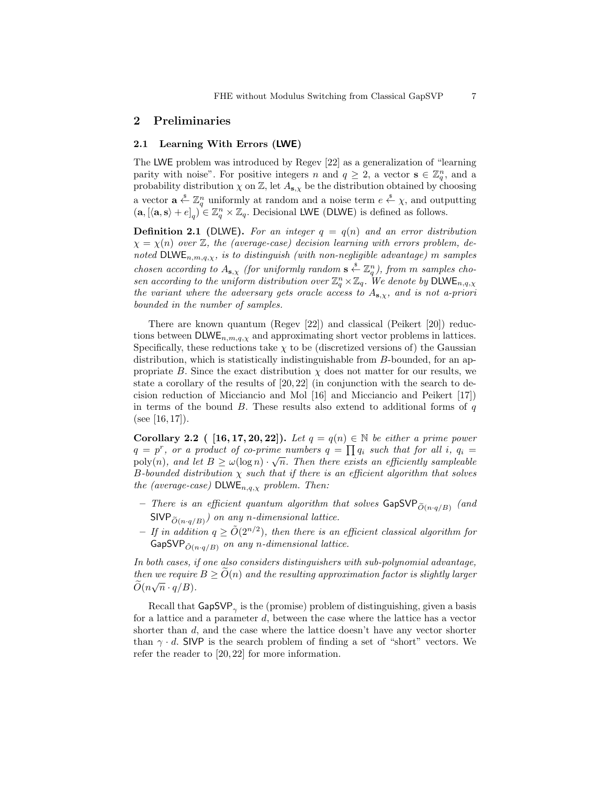## **2 Preliminaries**

#### **2.1 Learning With Errors (LWE)**

The LWE problem was introduced by Regev [22] as a generalization of "learning parity with noise". For positive integers *n* and  $q \geq 2$ , a vector  $\mathbf{s} \in \mathbb{Z}_q^n$ , and a probability distribution  $\chi$  on  $\mathbb{Z}$ , let  $A_{\mathbf{s},\chi}$  be the distribution obtained by choosing a vector  $\mathbf{a} \stackrel{\$}{\leftarrow} \mathbb{Z}_q^n$  uniformly at random and a noise term  $e \stackrel{\$}{\leftarrow} \chi$ , and outputting  $(a, [\langle a, s \rangle + e]_q) \in \mathbb{Z}_q^n \times \mathbb{Z}_q$ . Decisional LWE (DLWE) is defined as follows.

**Definition 2.1** (DLWE). For an integer  $q = q(n)$  and an error distribution  $\chi = \chi(n)$  *over*  $\mathbb{Z}$ *, the (average-case) decision learning with errors problem, denoted*  $DLWE_{n,m,q,\chi}$ *, is to distinguish (with non-negligible advantage) m samples chosen according to*  $A_{s,x}$  *(for uniformly random*  $s \stackrel{s}{\leftarrow} \mathbb{Z}_q^n$ *), from m samples chosen according to the uniform distribution over*  $\mathbb{Z}_q^n \times \mathbb{Z}_q$ *. We denote by* DLWE<sub>n,q, $\chi$ </sub> *the variant where the adversary gets oracle access to*  $A_{s,x}$ *, and is not a-priori bounded in the number of samples.*

There are known quantum (Regev [22]) and classical (Peikert [20]) reductions between  $\text{DLWE}_{n,m,q,\chi}$  and approximating short vector problems in lattices. Specifically, these reductions take  $\chi$  to be (discretized versions of) the Gaussian distribution, which is statistically indistinguishable from *B*-bounded, for an appropriate *B*. Since the exact distribution  $\chi$  does not matter for our results, we state a corollary of the results of [20, 22] (in conjunction with the search to decision reduction of Micciancio and Mol [16] and Micciancio and Peikert [17]) in terms of the bound *B*. These results also extend to additional forms of *q* (see [16, 17]).

**Corollary 2.2** ( [16, 17, 20, 22]). *Let*  $q = q(n) \in \mathbb{N}$  *be either a prime power*  $q = p^r$ , or a product of co-prime numbers  $q = \prod q_i$  such that for all *i*,  $q_i = \prod q_i$  and  $poly(n)$ *, and let*  $B \ge \omega(\log n) \cdot \sqrt{n}$ *. Then there exists an efficiently sampleable B-bounded distribution χ such that if there is an efficient algorithm that solves the (average-case)* DLWE*n,q,χ problem. Then:*

- $-$  *There is an efficient quantum algorithm that solves*  $\textsf{GapSVP}_{\widetilde{O}(n \cdot q/B)}$  (and  $\mathsf{SIVP}_{\widetilde{O}(n \cdot q/B)}$  on any *n*-dimensional lattice.
- $-$  *If in addition*  $q \geq \tilde{O}(2^{n/2})$ , then there is an efficient classical algorithm for  $GapSVP_{\tilde{O}(n\cdot q/B)}$  on any *n*-dimensional lattice.

*In both cases, if one also considers distinguishers with sub-polynomial advantage, then we require*  $B \geq O(n)$  *and the resulting approximation factor is slightly larger*  $\widetilde{O}(n\sqrt{n} \cdot q/B)$ .

Recall that  $\mathsf{GapSVP}_{\gamma}$  is the (promise) problem of distinguishing, given a basis for a lattice and a parameter *d*, between the case where the lattice has a vector shorter than *d*, and the case where the lattice doesn't have any vector shorter than  $\gamma \cdot d$ . SIVP is the search problem of finding a set of "short" vectors. We refer the reader to [20, 22] for more information.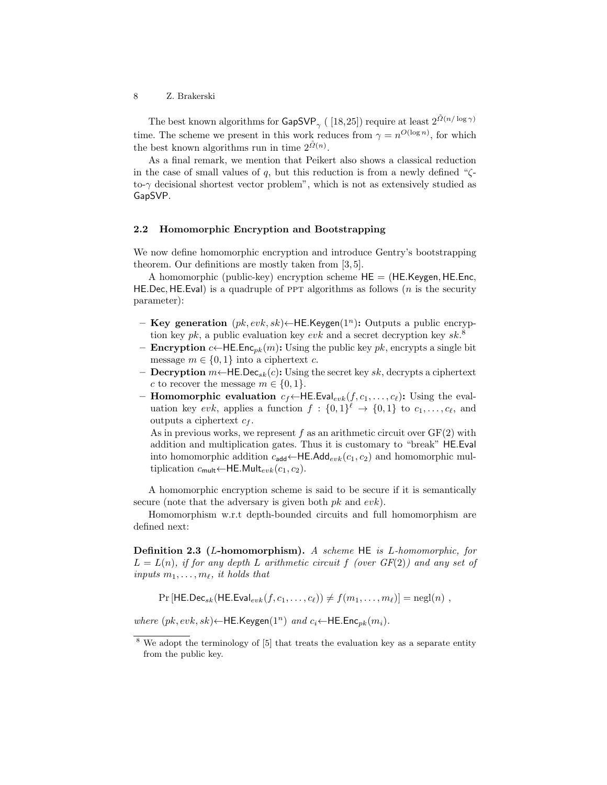The best known algorithms for  $\mathsf{GapSVP}_\gamma$  (  $[18,25]$ ) require at least  $2^{\tilde{\Omega}(n/\log \gamma)}$ time. The scheme we present in this work reduces from  $\gamma = n^{O(\log n)}$ , for which the best known algorithms run in time  $2^{\tilde{D}(n)}$ .

As a final remark, we mention that Peikert also shows a classical reduction in the case of small values of *q*, but this reduction is from a newly defined "*ζ*to- $\gamma$  decisional shortest vector problem", which is not as extensively studied as GapSVP.

## **2.2 Homomorphic Encryption and Bootstrapping**

We now define homomorphic encryption and introduce Gentry's bootstrapping theorem. Our definitions are mostly taken from [3, 5].

A homomorphic (public-key) encryption scheme HE = (HE*.*Keygen*,* HE*.*Enc*,* HE*.*Dec*,* HE*.*Eval) is a quadruple of ppt algorithms as follows (*n* is the security parameter):

- **– Key generation** (*pk, evk, sk*)*←*HE*.*Keygen(1*<sup>n</sup>*)**:** Outputs a public encryption key *pk*, a public evaluation key *evk* and a secret decryption key *sk*. 8
- **– Encryption** *c←*HE*.*Enc*pk*(*m*)**:** Using the public key *pk*, encrypts a single bit message  $m \in \{0, 1\}$  into a ciphertext *c*.
- **– Decryption** *m←*HE*.*Dec*sk*(*c*)**:** Using the secret key *sk*, decrypts a ciphertext *c* to recover the message  $m \in \{0, 1\}$ .
- **Homomorphic evaluation**  $c_f \leftarrow \text{HE.Eval}_{evk}(f, c_1, \ldots, c_\ell)$ : Using the evaluation key *evk*, applies a function  $f : \{0,1\}^{\ell} \to \{0,1\}$  to  $c_1, \ldots, c_{\ell}$ , and outputs a ciphertext *c<sup>f</sup>* .

As in previous works, we represent  $f$  as an arithmetic circuit over  $GF(2)$  with addition and multiplication gates. Thus it is customary to "break" HE*.*Eval into homomorphic addition  $c_{\text{add}} \leftarrow \text{HE.Add}_{evk}(c_1, c_2)$  and homomorphic multiplication  $c_{\text{mult}} \leftarrow \text{HE}$ *.Mult* $_{evk}(c_1, c_2)$ *.* 

A homomorphic encryption scheme is said to be secure if it is semantically secure (note that the adversary is given both *pk* and *evk*).

Homomorphism w.r.t depth-bounded circuits and full homomorphism are defined next:

**Definition 2.3 (***L***-homomorphism).** *A scheme* HE *is L-homomorphic, for*  $L = L(n)$ , if for any depth *L* arithmetic circuit *f* (over  $GF(2)$ ) and any set of  $\lim \lim_{n \to \infty} m_1, \dots, m_\ell$ , *it holds that* 

 $Pr[\mathsf{HE}.\mathsf{Dec}_{sk}(\mathsf{HE}.\mathsf{Eval}_{evk}(f, c_1, \ldots, c_\ell)) \neq f(m_1, \ldots, m_\ell)] = \mathrm{negl}(n)$ ,

 $where (pk, evk, sk) \leftarrow \text{HE}$ *.* Keygen(1<sup>n</sup>) and  $c_i \leftarrow \text{HE}$ *.* Enc<sub>nk</sub> $(m_i)$ *.* 

<sup>8</sup> We adopt the terminology of [5] that treats the evaluation key as a separate entity from the public key.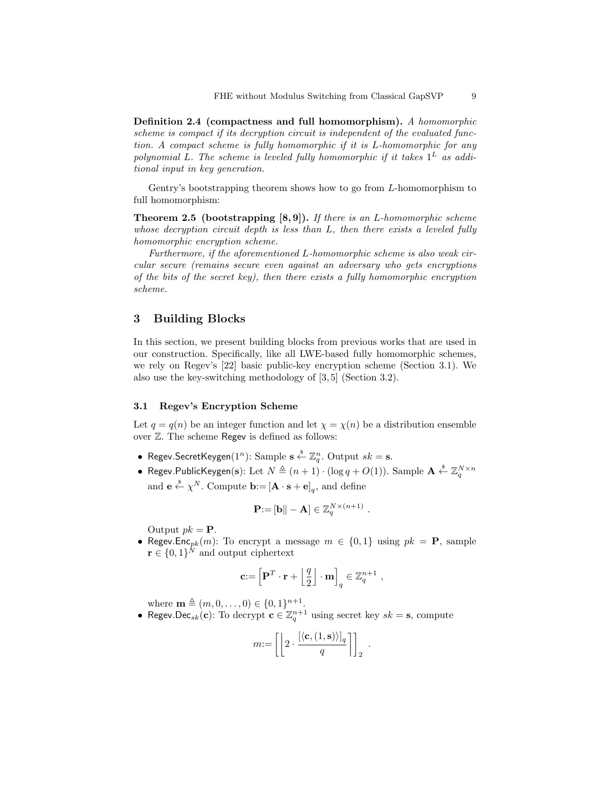**Definition 2.4 (compactness and full homomorphism).** *A homomorphic scheme is compact if its decryption circuit is independent of the evaluated function. A compact scheme is fully homomorphic if it is L-homomorphic for any* polynomial L. The scheme is leveled fully homomorphic if it takes  $1^L$  as addi*tional input in key generation.*

Gentry's bootstrapping theorem shows how to go from *L*-homomorphism to full homomorphism:

**Theorem 2.5 (bootstrapping [8, 9]).** *If there is an L-homomorphic scheme whose decryption circuit depth is less than L, then there exists a leveled fully homomorphic encryption scheme.*

*Furthermore, if the aforementioned L-homomorphic scheme is also weak circular secure (remains secure even against an adversary who gets encryptions of the bits of the secret key), then there exists a fully homomorphic encryption scheme.*

# **3 Building Blocks**

In this section, we present building blocks from previous works that are used in our construction. Specifically, like all LWE-based fully homomorphic schemes, we rely on Regev's [22] basic public-key encryption scheme (Section 3.1). We also use the key-switching methodology of [3, 5] (Section 3.2).

## **3.1 Regev's Encryption Scheme**

Let  $q = q(n)$  be an integer function and let  $\chi = \chi(n)$  be a distribution ensemble over Z. The scheme Regev is defined as follows:

- Regev.SecretKeygen $(1^n)$ : Sample  $\mathbf{s} \stackrel{\$}{\leftarrow} \mathbb{Z}_q^n$ . Output  $sk = \mathbf{s}$ .
- Regev.PublicKeygen(s): Let  $N \triangleq (n+1) \cdot (\log q + O(1))$ . Sample  $\mathbf{A} \stackrel{\$}{\leftarrow} \mathbb{Z}_q^{N \times n}$ and  $\mathbf{e} \stackrel{\$}{\leftarrow} \chi^N$ . Compute  $\mathbf{b} := [\mathbf{A} \cdot \mathbf{s} + \mathbf{e}]_q$ , and define

$$
\mathbf{P} = [\mathbf{b} \parallel -\mathbf{A}] \in \mathbb{Z}_q^{N \times (n+1)}.
$$

Output  $pk = P$ .

• Regev.Enc<sub>pk</sub> $(m)$ : To encrypt a message  $m \in \{0, 1\}$  using  $pk = P$ , sample  $\mathbf{r} \in \{0,1\}^N$  and output ciphertext

$$
\mathbf{c} {:=} \left[\mathbf{P}^T \cdot \mathbf{r} + \left\lfloor \frac{q}{2} \right\rfloor \cdot \mathbf{m} \right]_q \in \mathbb{Z}_q^{n+1} ,
$$

where  $\mathbf{m} \triangleq (m, 0, \dots, 0) \in \{0, 1\}^{n+1}$ .

• Regev.Dec<sub>sk</sub>(**c**): To decrypt **c**  $\in \mathbb{Z}_q^{n+1}$  using secret key *sk* = **s**, compute

$$
m := \left[ \left\lfloor 2 \cdot \frac{\left[ \langle \mathbf{c}, (1, \mathbf{s}) \rangle \right]_q}{q} \right\rceil \right]_2 \; .
$$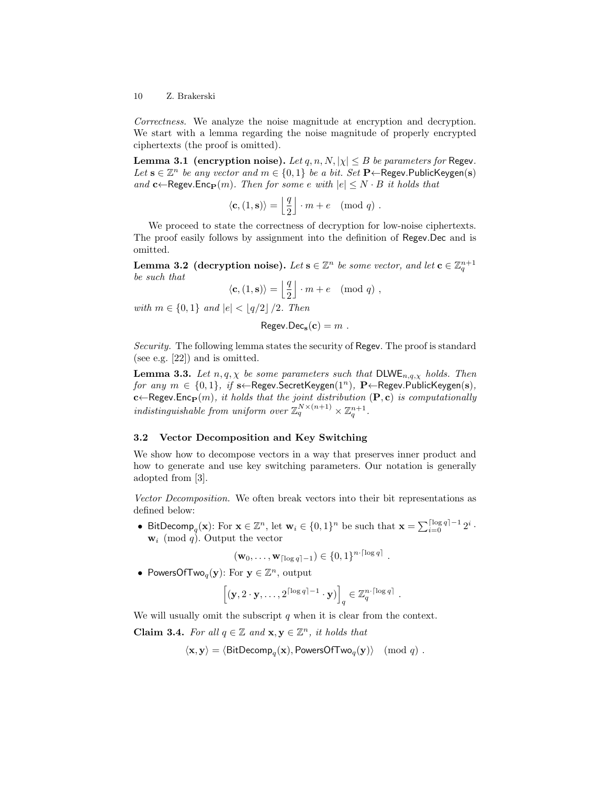*Correctness.* We analyze the noise magnitude at encryption and decryption. We start with a lemma regarding the noise magnitude of properly encrypted ciphertexts (the proof is omitted).

**Lemma 3.1** (encryption noise). Let  $q, n, N, |\chi| \leq B$  *be parameters for* Regev. *Let*  $\mathbf{s}$  ∈  $\mathbb{Z}^n$  *be any vector and*  $m \in \{0, 1\}$  *be a bit. Set* **P**←Regev.PublicKeygen( $\mathbf{s}$ ) *and* **c**←Regev.Enc $P(m)$ *. Then for some e with*  $|e| ≤ N \cdot B$  *it holds that* 

$$
\langle \mathbf{c}, (1, \mathbf{s}) \rangle = \left\lfloor \frac{q}{2} \right\rfloor \cdot m + e \pmod{q}.
$$

We proceed to state the correctness of decryption for low-noise ciphertexts. The proof easily follows by assignment into the definition of Regev*.*Dec and is omitted.

**Lemma 3.2** (decryption noise). Let  $\mathbf{s} \in \mathbb{Z}^n$  be some vector, and let  $\mathbf{c} \in \mathbb{Z}_q^{n+1}$ *be such that*

$$
\langle \mathbf{c}, (1, \mathbf{s}) \rangle = \left\lfloor \frac{q}{2} \right\rfloor \cdot m + e \pmod{q},
$$

*with*  $m \in \{0, 1\}$  *and*  $|e| < |q/2|/2$ . *Then* 

$$
Regev.Dec_s(\mathbf{c}) = m.
$$

*Security.* The following lemma states the security of Regev. The proof is standard (see e.g. [22]) and is omitted.

**Lemma 3.3.** *Let*  $n, q, \chi$  *be some parameters such that*  $\text{DLWE}_{n,q,\chi}$  *holds. Then for any m ∈ {*0*,* 1*}, if* **s***←*Regev*.*SecretKeygen(1*<sup>n</sup>*)*,* **P***←*Regev*.*PublicKeygen(**s**)*,* **c***←*Regev*.*Enc**P**(*m*)*, it holds that the joint distribution* (**P***,* **c**) *is computationally indistinguishable from uniform over*  $\mathbb{Z}_q^{N \times (n+1)} \times \mathbb{Z}_q^{n+1}$ .

#### **3.2 Vector Decomposition and Key Switching**

We show how to decompose vectors in a way that preserves inner product and how to generate and use key switching parameters. Our notation is generally adopted from [3].

*Vector Decomposition.* We often break vectors into their bit representations as defined below:

• BitDecomp<sub>q</sub>(**x**): For  $\mathbf{x} \in \mathbb{Z}^n$ , let  $\mathbf{w}_i \in \{0,1\}^n$  be such that  $\mathbf{x} = \sum_{i=0}^{\lceil \log q \rceil - 1} 2^i$ .  $\mathbf{w}_i$  (mod *q*). Output the vector

$$
(\mathbf{w}_0,\ldots,\mathbf{w}_{\lceil \log q \rceil-1}) \in \{0,1\}^{n \cdot \lceil \log q \rceil}.
$$

*•* PowersOfTwo*q*(**y**): For **y** *∈* Z *<sup>n</sup>*, output

$$
\left[ (\mathbf{y}, 2 \cdot \mathbf{y}, \dots, 2^{\lceil \log q \rceil - 1} \cdot \mathbf{y}) \right]_q \in \mathbb{Z}_q^{n \cdot \lceil \log q \rceil} .
$$

We will usually omit the subscript *q* when it is clear from the context.

**Claim 3.4.** *For all*  $q \in \mathbb{Z}$  *and*  $\mathbf{x}, \mathbf{y} \in \mathbb{Z}^n$ *, it holds that* 

 $\langle \mathbf{x}, \mathbf{y} \rangle = \langle \textsf{BitDecomp}_q(\mathbf{x}), \textsf{PowersOfTwo}_q(\mathbf{y}) \rangle \pmod{q}.$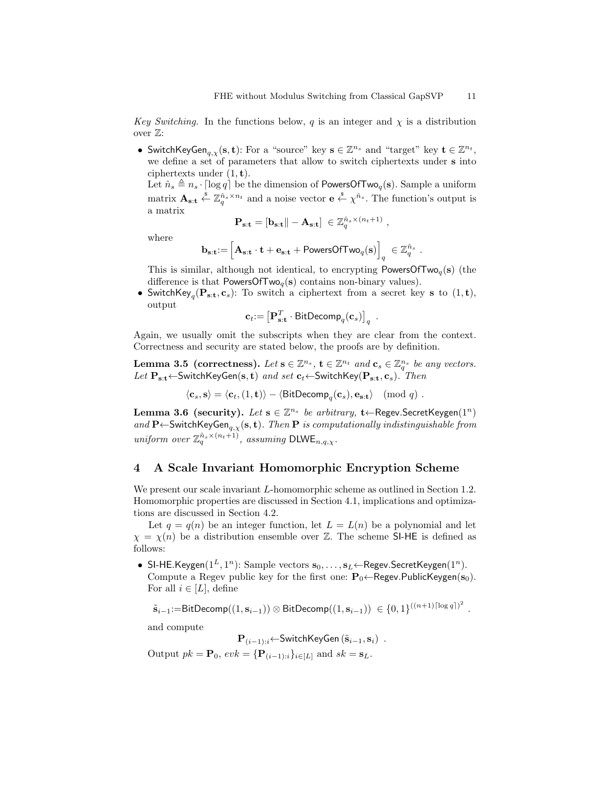*Key Switching.* In the functions below, *q* is an integer and  $\chi$  is a distribution over  $\mathbb{Z}$ :

*•* SwitchKeyGen<sub>q, $\chi$ </sub>(s, t): For a "source" key  $\mathbf{s} \in \mathbb{Z}^{n_s}$  and "target" key  $\mathbf{t} \in \mathbb{Z}^{n_t}$ , we define a set of parameters that allow to switch ciphertexts under **s** into ciphertexts under (1*,* **t**).

Let  $\hat{n}_s \triangleq n_s \cdot \lceil \log q \rceil$  be the dimension of PowersOfTwo<sub>q</sub>(s). Sample a uniform matrix  $\mathbf{A}_{\mathbf{s}:\mathbf{t}} \stackrel{\hspace{0.1em}\mathbf{\hat{e}}}{\leftarrow} \mathbb{Z}_q^{\hat{n}_s \times n_t}$  and a noise vector  $\mathbf{e} \stackrel{\hspace{0.1em}\mathbf{\hat{e}}}{\leftarrow} \chi^{\hat{n}_s}$ . The function's output is a matrix

$$
\mathbf{P_{s:t}} = [\mathbf{b_{s:t}} || - \mathbf{A_{s:t}}] \in \mathbb{Z}_q^{\hat{n}_s \times (n_t+1)},
$$

where

$$
\mathbf{b}_{\mathbf{s}:\mathbf{t}}\!:=\!{{\left[ \mathbf{A}_{\mathbf{s}:\mathbf{t}}\cdot\mathbf{t}+\mathbf{e}_{\mathbf{s}:\mathbf{t}}+\text{PowersOfTwo}_q(\mathbf{s}) \right]}_q\, \in \mathbb{Z}_q^{\hat{n}_s}}\,\,.
$$

This is similar, although not identical, to encrypting PowersOfTwo<sub>q</sub>(s) (the difference is that  $PowersOfTwo<sub>q</sub>(s)$  contains non-binary values).

*•* SwitchKey*<sup>q</sup>* (**Ps**:**t***,* **c***s*): To switch a ciphertext from a secret key **s** to (1*,* **t**), output

$$
\mathbf{c}_t \!\!:=\! \left[\mathbf{P}_{\mathbf{s}:\mathbf{t}}^T \cdot \mathsf{BitDecomp}_q(\mathbf{c}_s)\right]_q \ .
$$

Again, we usually omit the subscripts when they are clear from the context. Correctness and security are stated below, the proofs are by definition.

**Lemma 3.5** (correctness). Let  $\mathbf{s} \in \mathbb{Z}^{n_s}$ ,  $\mathbf{t} \in \mathbb{Z}^{n_t}$  and  $\mathbf{c}_s \in \mathbb{Z}_q^{n_s}$  be any vectors. *Let* **Ps**:**t***←*SwitchKeyGen(**s***,* **t**) *and set* **c***t←*SwitchKey(**Ps**:**t***,* **c***s*)*. Then*

$$
\langle \mathbf{c}_s, \mathbf{s} \rangle = \langle \mathbf{c}_t, (1, \mathbf{t}) \rangle - \langle \text{BitDecomp}_q(\mathbf{c}_s), \mathbf{e}_{\mathbf{s}:\mathbf{t}} \rangle \pmod{q} \ .
$$

Lemma 3.6 (security).  $Let$   $s \in \mathbb{Z}^{n_s}$  *be arbitrary*,  $t \leftarrow$ Regev.SecretKeygen(1<sup>*n*</sup>) *and* **P***←*SwitchKeyGen*q,χ*(**s***,* **t**)*. Then* **P** *is computationally indistinguishable from uniform over*  $\mathbb{Z}_q^{\hat{n}_s \times (n_t+1)}$ , *assuming* DLWE<sub>n,q,χ</sub>*.* 

## **4 A Scale Invariant Homomorphic Encryption Scheme**

We present our scale invariant *L*-homomorphic scheme as outlined in Section 1.2. Homomorphic properties are discussed in Section 4.1, implications and optimizations are discussed in Section 4.2.

Let  $q = q(n)$  be an integer function, let  $L = L(n)$  be a polynomial and let  $\chi = \chi(n)$  be a distribution ensemble over  $\mathbb{Z}$ . The scheme SI-HE is defined as follows:

*•* SI-HE*.*Keygen(1*<sup>L</sup>,* 1 *<sup>n</sup>*): Sample vectors **s**0*, . . . ,* **s***L←*Regev*.*SecretKeygen(1*<sup>n</sup>*). Compute a Regev public key for the first one:  $P_0 \leftarrow$ Regev.PublicKeygen(s<sub>0</sub>). For all  $i \in [L]$ , define

 $\tilde{\mathbf{s}}_{i-1}$ :=BitDecomp $((1, \mathbf{s}_{i-1}))$  ⊗ BitDecomp $((1, \mathbf{s}_{i-1}))$  ∈  $\{0, 1\}^{((n+1)\lceil \log q \rceil)^2}$ .

and compute

**P**(*i−*1):*i←*SwitchKeyGen (˜**s***<sup>i</sup>−*<sup>1</sup>*,* **s***i*) *.*

Output  $pk = \mathbf{P}_0$ ,  $evk = {\{\mathbf{P}_{(i-1):i}\}_{i \in [L]} }$  and  $sk = \mathbf{s}_L$ .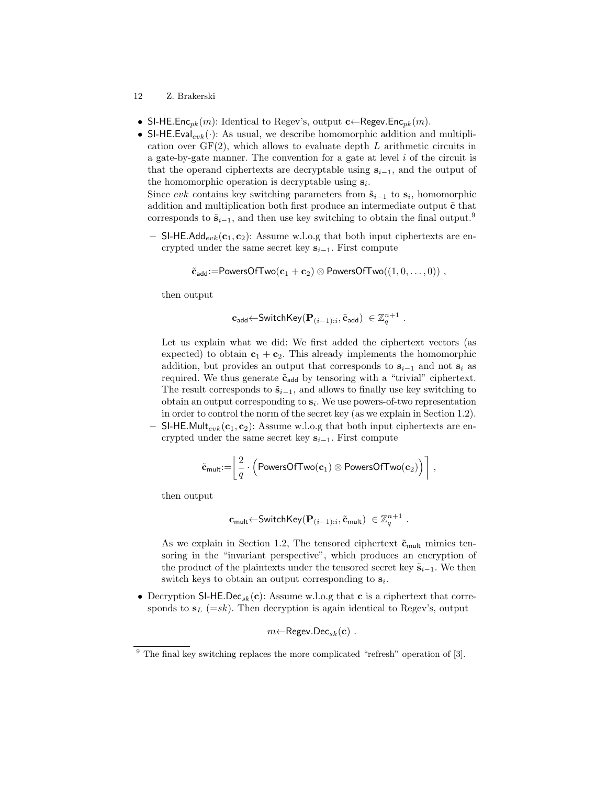- *•* SI-HE*.*Enc*pk*(*m*): Identical to Regev's, output **c***←*Regev*.*Enc*pk*(*m*).
- *•* SI-HE*.*Eval*evk*(*·*): As usual, we describe homomorphic addition and multiplication over  $GF(2)$ , which allows to evaluate depth  $L$  arithmetic circuits in a gate-by-gate manner. The convention for a gate at level *i* of the circuit is that the operand ciphertexts are decryptable using **s***<sup>i</sup>−*<sup>1</sup>, and the output of the homomorphic operation is decryptable using **s***<sup>i</sup>* .

Since *evk* contains key switching parameters from  $\tilde{\mathbf{s}}_{i-1}$  to  $\mathbf{s}_i$ , homomorphic addition and multiplication both first produce an intermediate output **c**˜ that corresponds to  $\tilde{\mathbf{s}}_{i-1}$ , and then use key switching to obtain the final output.<sup>9</sup>

*−* SI-HE*.*Add*evk*(**c**1*,* **c**2): Assume w.l.o.g that both input ciphertexts are encrypted under the same secret key  $s_{i-1}$ . First compute

$$
\tilde{\mathbf{c}}_{\mathsf{add}}\text{:=} \mathsf{PowersOfTwo}(\mathbf{c}_1 + \mathbf{c}_2) \otimes \mathsf{PowersOfTwo}((1,0,\ldots,0)) ,
$$

then output

$$
\mathbf{c}_\mathsf{add} \!\leftarrow\!\! \mathsf{SwitchKey}(\mathbf{P}_{(i-1):i}, \tilde{\mathbf{c}}_\mathsf{add})\ \in \mathbb{Z}_q^{n+1}\ .
$$

Let us explain what we did: We first added the ciphertext vectors (as expected) to obtain  $\mathbf{c}_1 + \mathbf{c}_2$ . This already implements the homomorphic addition, but provides an output that corresponds to  $s_{i-1}$  and not  $s_i$  as required. We thus generate  $\tilde{c}_{\text{add}}$  by tensoring with a "trivial" ciphertext. The result corresponds to  $\tilde{\mathbf{s}}_{i-1}$ , and allows to finally use key switching to obtain an output corresponding to **s***<sup>i</sup>* . We use powers-of-two representation in order to control the norm of the secret key (as we explain in Section 1.2).

*−* SI-HE*.*Mult*evk*(**c**1*,* **c**2): Assume w.l.o.g that both input ciphertexts are encrypted under the same secret key  $s_{i-1}$ . First compute

$$
\tilde{\mathbf{c}}_{\mathsf{mult}}{:=} \bigg\lfloor \frac{2}{q} \cdot \Big( \mathsf{PowersOfTwo}(\mathbf{c}_1) \otimes \mathsf{PowersOfTwo}(\mathbf{c}_2) \Big) \bigg\rfloor \;,
$$

then output

$$
\mathbf{c}_{\mathsf{mult}} \!\!\leftarrow\!\! \mathsf{SwitchKey}(\mathbf{P}_{(i-1):i}, \tilde{\mathbf{c}}_{\mathsf{mult}}) \ \in \mathbb{Z}_q^{n+1} \ .
$$

As we explain in Section 1.2, The tensored ciphertext  $\tilde{\mathbf{c}}_{\text{mult}}$  mimics tensoring in the "invariant perspective", which produces an encryption of the product of the plaintexts under the tensored secret key  $\tilde{\mathbf{s}}_{i-1}$ . We then switch keys to obtain an output corresponding to **s***<sup>i</sup>* .

• Decryption SI-HE.Dec<sub>sk</sub>(c): Assume w.l.o.g that c is a ciphertext that corresponds to  $s_L$  (= $sk$ ). Then decryption is again identical to Regev's, output

$$
m \leftarrow \text{Regev.Dec}_{sk}(\mathbf{c}) \ .
$$

<sup>&</sup>lt;sup>9</sup> The final key switching replaces the more complicated "refresh" operation of [3].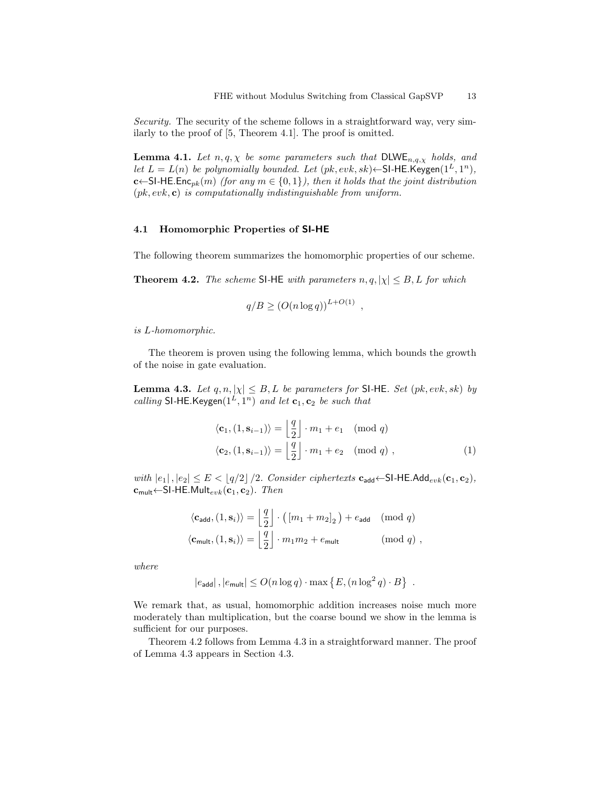*Security.* The security of the scheme follows in a straightforward way, very similarly to the proof of [5, Theorem 4.1]. The proof is omitted.

**Lemma 4.1.** *Let*  $n, q, \chi$  *be some parameters such that*  $DLWE_{n,q,\chi}$  *holds, and let*  $L = L(n)$  *be polynomially bounded. Let*  $(pk, evk, sk) \leftarrow$  SI-HE. Keygen $(1^L, 1^n)$ *,* **c**←SI-HE*.Enc<sub>pk</sub>*(*m*) (for any  $m \in \{0, 1\}$ ), then it holds that the joint distribution (*pk, evk,* **c**) *is computationally indistinguishable from uniform.*

#### **4.1 Homomorphic Properties of SI-HE**

The following theorem summarizes the homomorphic properties of our scheme.

**Theorem 4.2.** *The scheme* SI-HE *with parameters*  $n, q, |\chi| \leq B, L$  *for which* 

$$
q/B \ge (O(n \log q))^{L+O(1)}
$$

*is L-homomorphic.*

The theorem is proven using the following lemma, which bounds the growth of the noise in gate evaluation.

**Lemma 4.3.** *Let*  $q, n, |\chi| \leq B, L$  *be parameters for* SI-HE*. Set*  $(pk, evk, sk)$  *by calling* SI-HE.Keygen $(1^L, 1^n)$  *and let*  $c_1, c_2$  *be such that* 

$$
\langle \mathbf{c}_1, (1, \mathbf{s}_{i-1}) \rangle = \left\lfloor \frac{q}{2} \right\rfloor \cdot m_1 + e_1 \pmod{q}
$$
  

$$
\langle \mathbf{c}_2, (1, \mathbf{s}_{i-1}) \rangle = \left\lfloor \frac{q}{2} \right\rfloor \cdot m_1 + e_2 \pmod{q},
$$
 (1)

*,*

with  $|e_1|, |e_2| \le E < \lfloor q/2 \rfloor /2$ . Consider ciphertexts  $\mathbf{c}_{\text{add}} \leftarrow \mathsf{SI}\text{-}\mathsf{HE}.\mathsf{Add}_{evk}(\mathbf{c}_1, \mathbf{c}_2),$ **c**mult*←*SI*-*HE*.*Mult*evk*(**c**1*,* **c**2)*. Then*

$$
\langle \mathbf{c}_{\mathsf{add}}, (1, \mathbf{s}_i) \rangle = \left\lfloor \frac{q}{2} \right\rfloor \cdot \left( \left[ m_1 + m_2 \right]_2 \right) + e_{\mathsf{add}} \pmod{q}
$$
  

$$
\langle \mathbf{c}_{\mathsf{mult}}, (1, \mathbf{s}_i) \rangle = \left\lfloor \frac{q}{2} \right\rfloor \cdot m_1 m_2 + e_{\mathsf{mult}} \qquad (\text{mod } q) ,
$$

*where*

$$
|e_{\text{add}}|, |e_{\text{mult}}| \le O(n \log q) \cdot \max \left\{ E, (n \log^2 q) \cdot B \right\} .
$$

We remark that, as usual, homomorphic addition increases noise much more moderately than multiplication, but the coarse bound we show in the lemma is sufficient for our purposes.

Theorem 4.2 follows from Lemma 4.3 in a straightforward manner. The proof of Lemma 4.3 appears in Section 4.3.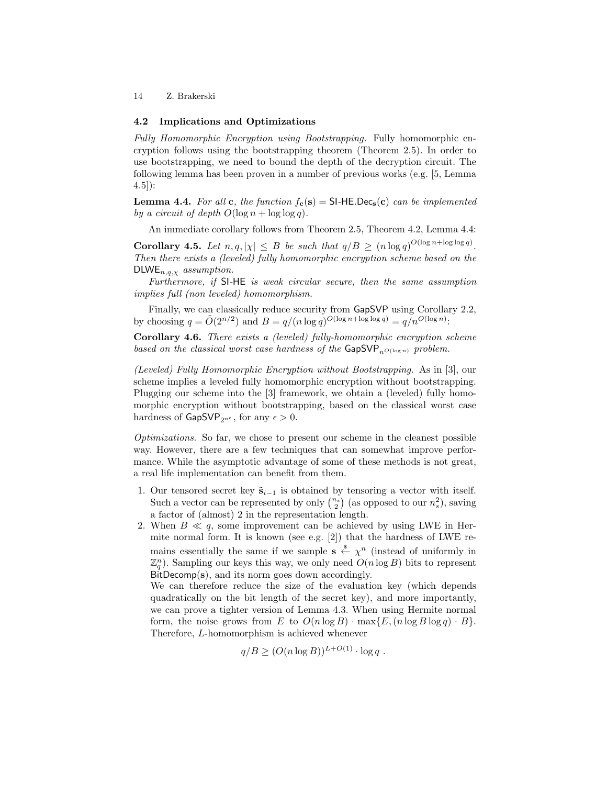#### **4.2 Implications and Optimizations**

*Fully Homomorphic Encryption using Bootstrapping.* Fully homomorphic encryption follows using the bootstrapping theorem (Theorem 2.5). In order to use bootstrapping, we need to bound the depth of the decryption circuit. The following lemma has been proven in a number of previous works (e.g. [5, Lemma  $(4.5)$ :

**Lemma 4.4.** For all **c**, the function  $f_c(s) = \text{SI-HE} \cdot \text{Dec}_s(c)$  can be implemented *by a circuit of depth*  $O(\log n + \log \log q)$ *.* 

An immediate corollary follows from Theorem 2.5, Theorem 4.2, Lemma 4.4:

**Corollary 4.5.** *Let*  $n, q, |\chi| \leq B$  *be such that*  $q/B \geq (n \log q)^{O(\log n + \log \log q)}$ . *Then there exists a (leveled) fully homomorphic encryption scheme based on the* DLWE*n,q,χ assumption.*

*Furthermore, if* SI*-*HE *is weak circular secure, then the same assumption implies full (non leveled) homomorphism.*

Finally, we can classically reduce security from GapSVP using Corollary 2.2, by choosing  $q = \tilde{O}(2^{n/2})$  and  $B = q/(n \log q)^{O(\log n + \log \log q)} = q/n^{O(\log n)}$ :

**Corollary 4.6.** *There exists a (leveled) fully-homomorphic encryption scheme based on the classical worst case hardness of the*  $\mathsf{GapSVP}_{n^{O(\log n)}}$  *problem.* 

*(Leveled) Fully Homomorphic Encryption without Bootstrapping.* As in [3], our scheme implies a leveled fully homomorphic encryption without bootstrapping. Plugging our scheme into the [3] framework, we obtain a (leveled) fully homomorphic encryption without bootstrapping, based on the classical worst case hardness of  $\text{GapSVP}_{2^{n^{\epsilon}}}$ , for any  $\epsilon > 0$ .

*Optimizations.* So far, we chose to present our scheme in the cleanest possible way. However, there are a few techniques that can somewhat improve performance. While the asymptotic advantage of some of these methods is not great, a real life implementation can benefit from them.

- 1. Our tensored secret key  $\tilde{\mathbf{s}}_{i-1}$  is obtained by tensoring a vector with itself. Such a vector can be represented by only  $\binom{n_s}{2}$  (as opposed to our  $n_s^2$ ), saving a factor of (almost) 2 in the representation length.
- 2. When  $B \ll q$ , some improvement can be achieved by using LWE in Hermite normal form. It is known (see e.g. [2]) that the hardness of LWE remains essentially the same if we sample  $s \stackrel{s}{\leftarrow} \chi^n$  (instead of uniformly in  $\mathbb{Z}_q^n$ ). Sampling our keys this way, we only need  $O(n \log B)$  bits to represent BitDecomp(**s**), and its norm goes down accordingly.

We can therefore reduce the size of the evaluation key (which depends quadratically on the bit length of the secret key), and more importantly, we can prove a tighter version of Lemma 4.3. When using Hermite normal form, the noise grows from *E* to  $O(n \log B) \cdot \max\{E, (n \log B \log q) \cdot B\}$ . Therefore, *L*-homomorphism is achieved whenever

$$
q/B \ge (O(n \log B))^{L+O(1)} \cdot \log q.
$$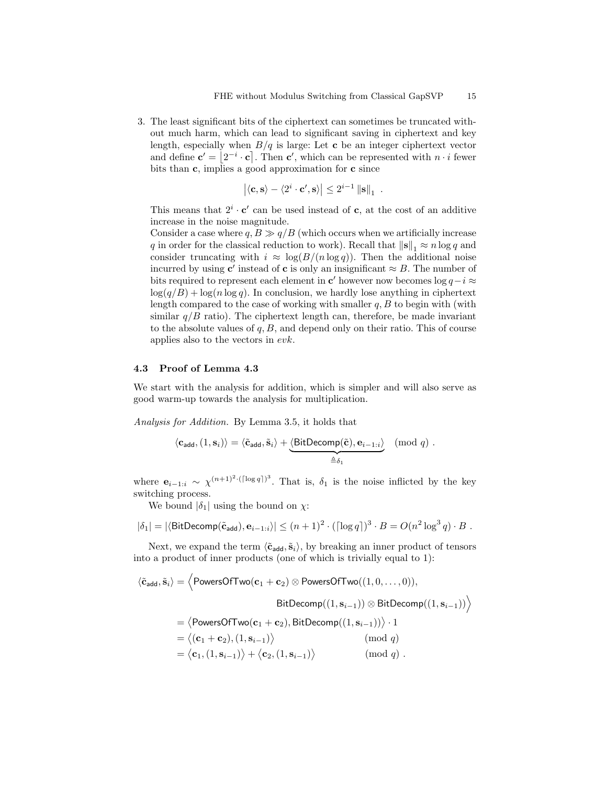3. The least significant bits of the ciphertext can sometimes be truncated without much harm, which can lead to significant saving in ciphertext and key length, especially when  $B/q$  is large: Let **c** be an integer ciphertext vector and define  $\mathbf{c}' = [2^{-i} \cdot \mathbf{c}]$ . Then  $\mathbf{c}'$ , which can be represented with  $n \cdot i$  fewer bits than **c**, implies a good approximation for **c** since

$$
\left|\langle \mathbf{c},\mathbf{s}\rangle - \langle 2^i\cdot \mathbf{c}',\mathbf{s}\rangle\right| \leq 2^{i-1}\left\|\mathbf{s}\right\|_1\enspace.
$$

This means that  $2^i \cdot \mathbf{c}'$  can be used instead of **c**, at the cost of an additive increase in the noise magnitude.

Consider a case where  $q, B \gg q/B$  (which occurs when we artificially increase *q* in order for the classical reduction to work). Recall that *∥***s***∥*<sup>1</sup> *≈ n* log *q* and consider truncating with  $i \approx \log(B/(n \log q))$ . Then the additional noise incurred by using **c**<sup> $\prime$ </sup> instead of **c** is only an insignificant  $\approx$  *B*. The number of bits required to represent each element in **c** *′* however now becomes log *q−i ≈*  $\log(q/B) + \log(n \log q)$ . In conclusion, we hardly lose anything in ciphertext length compared to the case of working with smaller *q, B* to begin with (with similar  $q/B$  ratio). The ciphertext length can, therefore, be made invariant to the absolute values of *q, B*, and depend only on their ratio. This of course applies also to the vectors in *evk*.

#### **4.3 Proof of Lemma 4.3**

We start with the analysis for addition, which is simpler and will also serve as good warm-up towards the analysis for multiplication.

*Analysis for Addition.* By Lemma 3.5, it holds that

$$
\langle \mathbf{c}_{\mathsf{add}}, (1, \mathbf{s}_i) \rangle = \langle \tilde{\mathbf{c}}_{\mathsf{add}}, \tilde{\mathbf{s}}_i \rangle + \underbrace{\langle \text{BitDecomp}(\tilde{\mathbf{c}}), \mathbf{e}_{i-1:i} \rangle}_{\triangleq \delta_1} \pmod{q} \ .
$$

where  $\mathbf{e}_{i-1:i} \sim \chi^{(n+1)^2 \cdot (\lceil \log q \rceil)^3}$ . That is,  $\delta_1$  is the noise inflicted by the key switching process.

We bound  $|\delta_1|$  using the bound on *χ*:

$$
|\delta_1| = |\langle \mathsf{BitDecomp}(\tilde{\mathsf{c}}_{\mathsf{add}}), \mathbf{e}_{i-1:i} \rangle| \le (n+1)^2 \cdot ([\log q])^3 \cdot B = O(n^2 \log^3 q) \cdot B.
$$

Next, we expand the term  $\langle \tilde{c}_{\text{add}}^{\dagger}, \tilde{s}_i \rangle$ , by breaking an inner product of tensors into a product of inner products (one of which is trivially equal to 1):

$$
\langle \tilde{\mathbf{c}}_{\text{add}}, \tilde{\mathbf{s}}_i \rangle = \Big\langle \mathsf{PowersOfTwo}(\mathbf{c}_1 + \mathbf{c}_2) \otimes \mathsf{PowersOfTwo}((1, 0, \dots, 0)),
$$
\n
$$
\mathsf{BitDecomp}((1, \mathbf{s}_{i-1})) \otimes \mathsf{BitDecomp}((1, \mathbf{s}_{i-1})) \Big\rangle
$$
\n
$$
= \Big\langle \mathsf{PowersOfTwo}(\mathbf{c}_1 + \mathbf{c}_2), \mathsf{BitDecomp}((1, \mathbf{s}_{i-1})) \Big\rangle \cdot 1
$$
\n
$$
= \Big\langle (\mathbf{c}_1 + \mathbf{c}_2), (1, \mathbf{s}_{i-1}) \Big\rangle \Big\rangle \qquad \qquad \text{(mod } q)
$$
\n
$$
= \Big\langle \mathbf{c}_1, (1, \mathbf{s}_{i-1}) \Big\rangle + \Big\langle \mathbf{c}_2, (1, \mathbf{s}_{i-1}) \Big\rangle \qquad \qquad \text{(mod } q) .
$$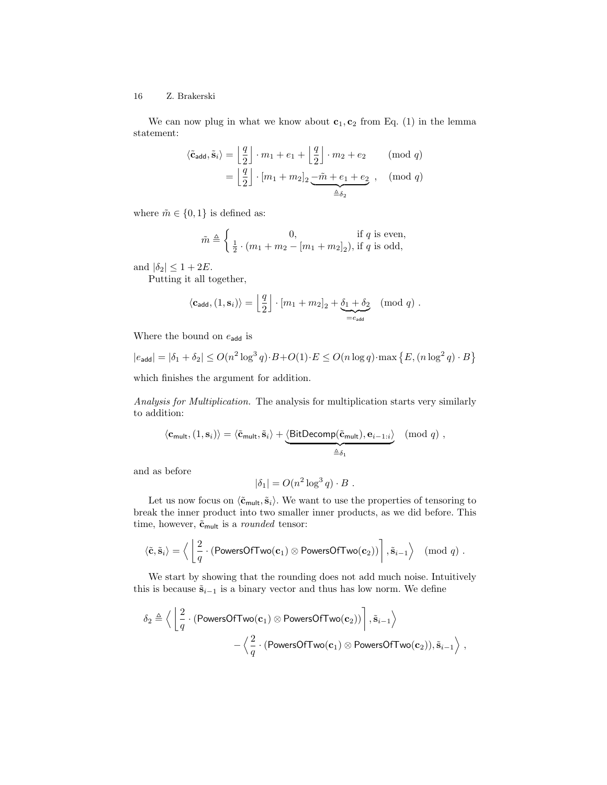We can now plug in what we know about  $c_1, c_2$  from Eq. (1) in the lemma statement:

$$
\langle \tilde{\mathbf{c}}_{\mathsf{add}}, \tilde{\mathbf{s}}_i \rangle = \left\lfloor \frac{q}{2} \right\rfloor \cdot m_1 + e_1 + \left\lfloor \frac{q}{2} \right\rfloor \cdot m_2 + e_2 \quad (\text{mod } q)
$$

$$
= \left\lfloor \frac{q}{2} \right\rfloor \cdot [m_1 + m_2]_2 \underbrace{-\tilde{m} + e_1 + e_2}_{\triangleq \delta_2}, \quad (\text{mod } q)
$$

where  $\tilde{m} \in \{0, 1\}$  is defined as:

$$
\tilde{m}\triangleq\left\{\begin{matrix}0,&\text{if }q\text{ is even,}\\ \frac{1}{2}\cdot\left(m_1+m_2-[m_1+m_2]_2\right)\text{, if }q\text{ is odd,}\end{matrix}\right.
$$

and  $|\delta_2| \leq 1 + 2E$ .

Putting it all together,

$$
\langle \mathbf{c}_{\text{add}}, (1,\mathbf{s}_i) \rangle = \left\lfloor \frac{q}{2} \right\rfloor \cdot [m_1 + m_2]_2 + \underbrace{\delta_1 + \delta_2}_{=e_{\text{add}}}\pmod{q}\ .
$$

Where the bound on  $e_{\text{add}}$  is

$$
|e_{\mathsf{add}}| = |\delta_1 + \delta_2| \le O(n^2 \log^3 q) \cdot B + O(1) \cdot E \le O(n \log q) \cdot \max\left\{E, (n \log^2 q) \cdot B\right\}
$$

which finishes the argument for addition.

*Analysis for Multiplication.* The analysis for multiplication starts very similarly to addition:

$$
\langle \mathbf{c}_{\mathsf{mult}}, (1, \mathbf{s}_i) \rangle = \langle \tilde{\mathbf{c}}_{\mathsf{mult}}, \tilde{\mathbf{s}}_i \rangle + \underbrace{\langle \text{BitDecomp}(\tilde{\mathbf{c}}_{\mathsf{mult}}), \mathbf{e}_{i-1:i} \rangle}_{\triangleq \delta_1} \pmod{q} ,
$$

and as before

$$
|\delta_1| = O(n^2 \log^3 q) \cdot B.
$$

Let us now focus on  $\langle \tilde{\mathbf{c}}_{\text{mult}}, \tilde{\mathbf{s}}_i \rangle$ . We want to use the properties of tensoring to break the inner product into two smaller inner products, as we did before. This time, however,  $\tilde{\mathbf{c}}_{\mathsf{mult}}$  is a  $\emph{rounded}$  tensor:

$$
\langle \tilde{\mathbf{c}}, \tilde{\mathbf{s}}_i \rangle = \Big\langle \left\lfloor \frac{2}{q} \cdot (\mathsf{PowersOfTwo}(\mathbf{c}_1) \otimes \mathsf{PowersOfTwo}(\mathbf{c}_2)) \right\rceil, \tilde{\mathbf{s}}_{i-1} \Big\rangle \pmod{q} \ .
$$

We start by showing that the rounding does not add much noise. Intuitively this is because  $\tilde{\mathbf{s}}_{i-1}$  is a binary vector and thus has low norm. We define

$$
\delta_2 \triangleq \Big\langle \left. \left\vert \frac{2}{q} \cdot (\mathsf{PowersOfTwo}(\mathbf{c}_1) \otimes \mathsf{PowersOfTwo}(\mathbf{c}_2)) \right\vert , \tilde{\mathbf{s}}_{i-1} \right\rangle \\ - \Big\langle \frac{2}{q} \cdot (\mathsf{PowersOfTwo}(\mathbf{c}_1) \otimes \mathsf{PowersOfTwo}(\mathbf{c}_2)) , \tilde{\mathbf{s}}_{i-1} \Big\rangle~,
$$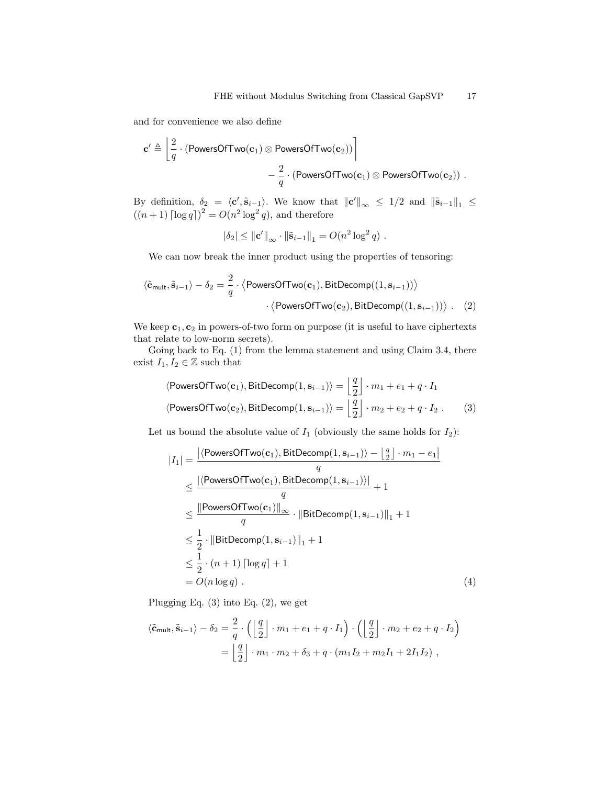and for convenience we also define

$$
\mathbf{c}' \triangleq \left\lfloor \frac{2}{q} \cdot (\mathsf{PowersOfTwo}(\mathbf{c}_1) \otimes \mathsf{PowersOfTwo}(\mathbf{c}_2)) \right\rceil - \frac{2}{q} \cdot (\mathsf{PowersOfTwo}(\mathbf{c}_1) \otimes \mathsf{PowersOfTwo}(\mathbf{c}_2)) .
$$

By definition,  $\delta_2 = \langle \mathbf{c}', \tilde{\mathbf{s}}_{i-1} \rangle$ . We know that  $\|\mathbf{c}'\|_{\infty} \leq 1/2$  and  $\|\tilde{\mathbf{s}}_{i-1}\|_1 \leq$  $((n+1)\lceil \log q \rceil)^2 = O(n^2 \log^2 q)$ , and therefore

$$
|\delta_2| \le ||\mathbf{c}'||_{\infty} \cdot ||\tilde{\mathbf{s}}_{i-1}||_1 = O(n^2 \log^2 q).
$$

We can now break the inner product using the properties of tensoring:

$$
\langle \tilde{\mathbf{c}}_{\mathsf{mult}}, \tilde{\mathbf{s}}_{i-1} \rangle - \delta_2 = \frac{2}{q} \cdot \langle \mathsf{PowersOfTwo}(\mathbf{c}_1), \mathsf{BitDecomp}((1, \mathbf{s}_{i-1})) \rangle
$$

$$
\cdot \langle \mathsf{PowersOfTwo}(\mathbf{c}_2), \mathsf{BitDecomp}((1, \mathbf{s}_{i-1})) \rangle. \quad (2)
$$

We keep  $c_1, c_2$  in powers-of-two form on purpose (it is useful to have ciphertexts that relate to low-norm secrets).

Going back to Eq. (1) from the lemma statement and using Claim 3.4, there exist  $I_1, I_2 \in \mathbb{Z}$  such that

$$
\langle \text{PowersOfTwo}(\mathbf{c}_1), \text{BitDecomp}(1, \mathbf{s}_{i-1}) \rangle = \left\lfloor \frac{q}{2} \right\rfloor \cdot m_1 + e_1 + q \cdot I_1
$$

$$
\langle \text{PowersOfTwo}(\mathbf{c}_2), \text{BitDecomp}(1, \mathbf{s}_{i-1}) \rangle = \left\lfloor \frac{q}{2} \right\rfloor \cdot m_2 + e_2 + q \cdot I_2. \tag{3}
$$

Let us bound the absolute value of  $I_1$  (obviously the same holds for  $I_2$ ):

$$
|I_{1}| = \frac{|\langle \text{PowersOfTwo}(\mathbf{c}_{1}), \text{BitDecomp}(1, \mathbf{s}_{i-1}) \rangle - \lfloor \frac{q}{2} \rfloor \cdot m_{1} - e_{1}|}{q}
$$
  
\n
$$
\leq \frac{|\langle \text{PowersOfTwo}(\mathbf{c}_{1}), \text{BitDecomp}(1, \mathbf{s}_{i-1}) \rangle|}{q} + 1
$$
  
\n
$$
\leq \frac{\|\text{PowersOfTwo}(\mathbf{c}_{1})\|_{\infty}}{q} \cdot \|\text{BitDecomp}(1, \mathbf{s}_{i-1})\|_{1} + 1
$$
  
\n
$$
\leq \frac{1}{2} \cdot \|\text{BitDecomp}(1, \mathbf{s}_{i-1})\|_{1} + 1
$$
  
\n
$$
\leq \frac{1}{2} \cdot (n+1) \left[ \log q \right] + 1
$$
  
\n
$$
= O(n \log q) . \tag{4}
$$

Plugging Eq.  $(3)$  into Eq.  $(2)$ , we get

$$
\langle \tilde{\mathbf{c}}_{\mathsf{mult}}, \tilde{\mathbf{s}}_{i-1} \rangle - \delta_2 = \frac{2}{q} \cdot \left( \left\lfloor \frac{q}{2} \right\rfloor \cdot m_1 + e_1 + q \cdot I_1 \right) \cdot \left( \left\lfloor \frac{q}{2} \right\rfloor \cdot m_2 + e_2 + q \cdot I_2 \right)
$$

$$
= \left\lfloor \frac{q}{2} \right\rfloor \cdot m_1 \cdot m_2 + \delta_3 + q \cdot (m_1 I_2 + m_2 I_1 + 2I_1 I_2) ,
$$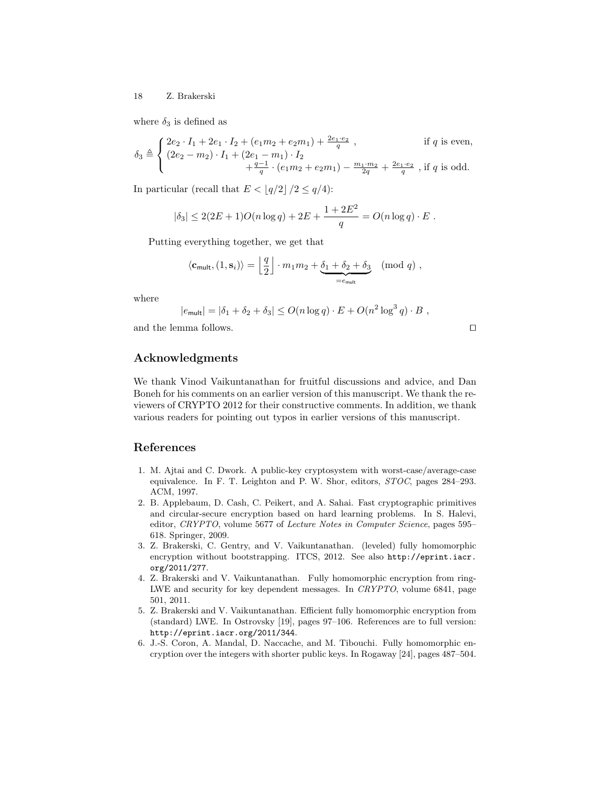where  $\delta_3$  is defined as

$$
\delta_3 \triangleq \begin{cases} 2e_2 \cdot I_1 + 2e_1 \cdot I_2 + (e_1m_2 + e_2m_1) + \frac{2e_1 \cdot e_2}{q} , & \text{if } q \text{ is even,} \\ (2e_2 - m_2) \cdot I_1 + (2e_1 - m_1) \cdot I_2 \\qquad \qquad + \frac{q-1}{q} \cdot (e_1m_2 + e_2m_1) - \frac{m_1 \cdot m_2}{2q} + \frac{2e_1 \cdot e_2}{q} , \text{if } q \text{ is odd.} \end{cases}
$$

In particular (recall that  $E < \lfloor q/2 \rfloor /2 \leq q/4$ ):

$$
|\delta_3| \leq 2(2E+1)O(n \log q) + 2E + \frac{1+2E^2}{q} = O(n \log q) \cdot E
$$
.

Putting everything together, we get that

$$
\langle \mathbf{c}_{\mathsf{mult}}, (1, \mathbf{s}_i) \rangle = \left\lfloor \frac{q}{2} \right\rfloor \cdot m_1 m_2 + \underbrace{\delta_1 + \delta_2 + \delta_3}_{=e_{\mathsf{mult}}} \pmod{q} ,
$$

where

$$
|e_{\mathsf{mult}}| = |\delta_1 + \delta_2 + \delta_3| \leq O(n \log q) \cdot E + O(n^2 \log^3 q) \cdot B,
$$

and the lemma follows. *⊓⊔*

# **Acknowledgments**

We thank Vinod Vaikuntanathan for fruitful discussions and advice, and Dan Boneh for his comments on an earlier version of this manuscript. We thank the reviewers of CRYPTO 2012 for their constructive comments. In addition, we thank various readers for pointing out typos in earlier versions of this manuscript.

# **References**

- 1. M. Ajtai and C. Dwork. A public-key cryptosystem with worst-case/average-case equivalence. In F. T. Leighton and P. W. Shor, editors, *STOC*, pages 284–293. ACM, 1997.
- 2. B. Applebaum, D. Cash, C. Peikert, and A. Sahai. Fast cryptographic primitives and circular-secure encryption based on hard learning problems. In S. Halevi, editor, *CRYPTO*, volume 5677 of *Lecture Notes in Computer Science*, pages 595– 618. Springer, 2009.
- 3. Z. Brakerski, C. Gentry, and V. Vaikuntanathan. (leveled) fully homomorphic encryption without bootstrapping. ITCS, 2012. See also http://eprint.iacr. org/2011/277.
- 4. Z. Brakerski and V. Vaikuntanathan. Fully homomorphic encryption from ring-LWE and security for key dependent messages. In *CRYPTO*, volume 6841, page 501, 2011.
- 5. Z. Brakerski and V. Vaikuntanathan. Efficient fully homomorphic encryption from (standard) LWE. In Ostrovsky [19], pages 97–106. References are to full version: http://eprint.iacr.org/2011/344.
- 6. J.-S. Coron, A. Mandal, D. Naccache, and M. Tibouchi. Fully homomorphic encryption over the integers with shorter public keys. In Rogaway [24], pages 487–504.